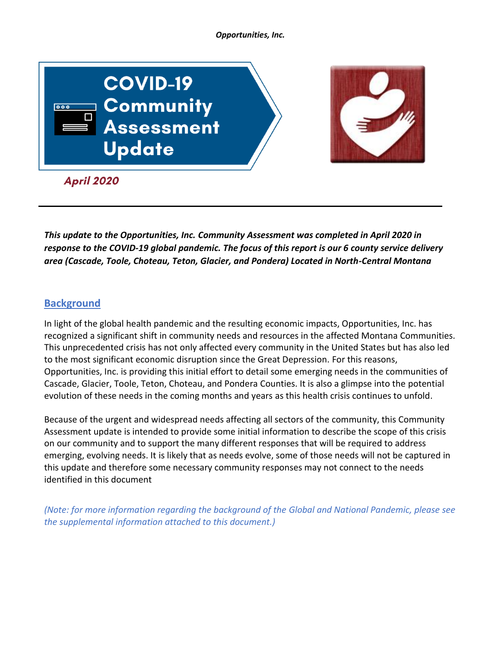#### *Opportunities, Inc.*



*This update to the Opportunities, Inc. Community Assessment was completed in April 2020 in response to the COVID-19 global pandemic. The focus of this report is our 6 county service delivery area (Cascade, Toole, Choteau, Teton, Glacier, and Pondera) Located in North-Central Montana* 

# **Background**

In light of the global health pandemic and the resulting economic impacts, Opportunities, Inc. has recognized a significant shift in community needs and resources in the affected Montana Communities. This unprecedented crisis has not only affected every community in the United States but has also led to the most significant economic disruption since the Great Depression. For this reasons, Opportunities, Inc. is providing this initial effort to detail some emerging needs in the communities of Cascade, Glacier, Toole, Teton, Choteau, and Pondera Counties. It is also a glimpse into the potential evolution of these needs in the coming months and years as this health crisis continues to unfold.

Because of the urgent and widespread needs affecting all sectors of the community, this Community Assessment update is intended to provide some initial information to describe the scope of this crisis on our community and to support the many different responses that will be required to address emerging, evolving needs. It is likely that as needs evolve, some of those needs will not be captured in this update and therefore some necessary community responses may not connect to the needs identified in this document

*(Note: for more information regarding the background of the Global and National Pandemic, please see the supplemental information attached to this document.)*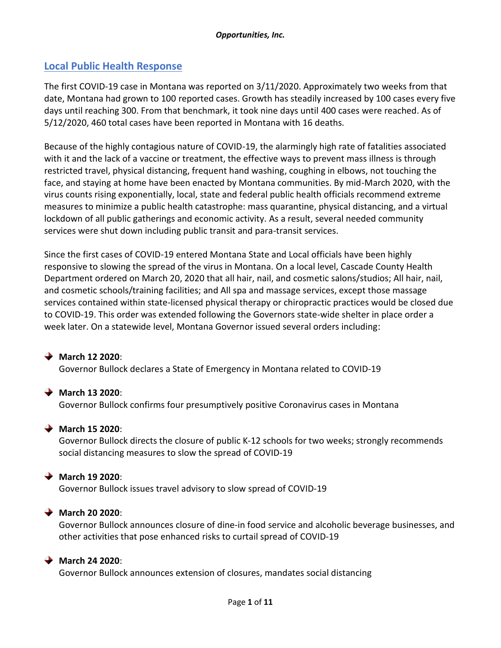# **Local Public Health Response**

The first COVID-19 case in Montana was reported on 3/11/2020. Approximately two weeks from that date, Montana had grown to 100 reported cases. Growth has steadily increased by 100 cases every five days until reaching 300. From that benchmark, it took nine days until 400 cases were reached. As of 5/12/2020, 460 total cases have been reported in Montana with 16 deaths.

Because of the highly contagious nature of COVID-19, the alarmingly high rate of fatalities associated with it and the lack of a vaccine or treatment, the effective ways to prevent mass illness is through restricted travel, physical distancing, frequent hand washing, coughing in elbows, not touching the face, and staying at home have been enacted by Montana communities. By mid-March 2020, with the virus counts rising exponentially, local, state and federal public health officials recommend extreme measures to minimize a public health catastrophe: mass quarantine, physical distancing, and a virtual lockdown of all public gatherings and economic activity. As a result, several needed community services were shut down including public transit and para-transit services.

Since the first cases of COVID-19 entered Montana State and Local officials have been highly responsive to slowing the spread of the virus in Montana. On a local level, Cascade County Health Department ordered on March 20, 2020 that all hair, nail, and cosmetic salons/studios; All hair, nail, and cosmetic schools/training facilities; and All spa and massage services, except those massage services contained within state-licensed physical therapy or chiropractic practices would be closed due to COVID-19. This order was extended following the Governors state-wide shelter in place order a week later. On a statewide level, Montana Governor issued several orders including:

### **March 12 2020**: Governor Bullock declares a State of [Emergency](http://governor.mt.gov/Pressroom/governor-bullock-declares-state-of-emergency-in-montana-related-to-covid-19) in Montana related to COVID-19

### **March 13 2020**:

Governor Bullock confirms four [presumptively](http://governor.mt.gov/Pressroom/governor-bullock-confirms-four-presumptively-positive-coronavirus-cases-in-montana) positive Coronavirus cases in Montana

### **March 15 2020**:

Governor Bullock directs the closure of public K-12 schools for two weeks; strongly [recommends](http://governor.mt.gov/Pressroom/governor-bullock-directs-the-closure-of-public-k-12-schools-for-two-weeks-strongly-recommends-social-distancing-measures-to-slow-the-spread-of-covid-19) social [distancing](http://governor.mt.gov/Pressroom/governor-bullock-directs-the-closure-of-public-k-12-schools-for-two-weeks-strongly-recommends-social-distancing-measures-to-slow-the-spread-of-covid-19) measures to slow the spread of COVID-19

#### **March 19 2020**:

Governor Bullock issues travel advisory to slow spread of [COVID-19](http://governor.mt.gov/Pressroom/governor-bullock-issues-travel-advisory-to-slow-spread-of-covid-19)

### **March 20 2020**:

Governor Bullock announces closure of dine-in food service and alcoholic beverage [businesses,](http://governor.mt.gov/Pressroom/governor-bullock-announces-closure-of-dine-in-food-service-and-alcoholic-beverage-businesses-and-other-activities-that-pose-enhanced-risks-to-curtail-spread-of-covid-19) and other activities that pose [enhanced](http://governor.mt.gov/Pressroom/governor-bullock-announces-closure-of-dine-in-food-service-and-alcoholic-beverage-businesses-and-other-activities-that-pose-enhanced-risks-to-curtail-spread-of-covid-19) risks to curtail spread of COVID-19

### **March 24 2020**:

Governor Bullock [announces](http://governor.mt.gov/Pressroom/governor-bullock-announces-extension-of-closures-mandates-social-distancing) extension of closures, mandates social distancing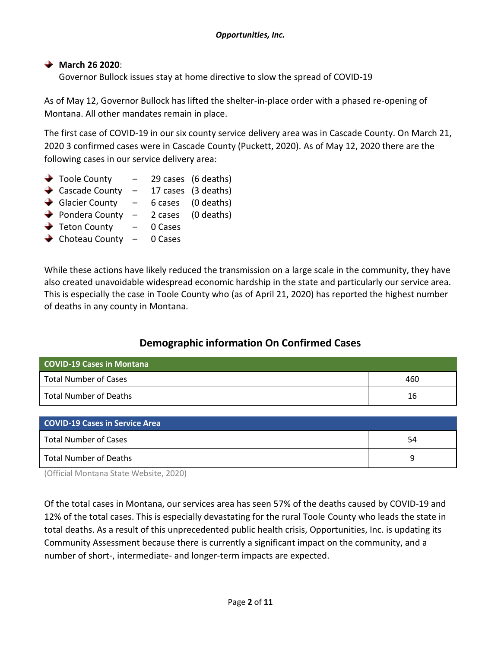# **March 26 2020**:

Governor Bullock issues stay at home directive to slow the spread of [COVID-19](http://governor.mt.gov/Pressroom/governor-bullock-issues-stay-at-home-directive-to-slow-the-spread-of-covid-19)

As of May 12, Governor Bullock has lifted the shelter-in-place order with a phased re-opening of Montana. All other mandates remain in place.

The first case of COVID-19 in our six county service delivery area was in Cascade County. On March 21, 2020 3 confirmed cases were in Cascade County (Puckett, 2020). As of May 12, 2020 there are the following cases in our service delivery area:

- $\rightarrow$  Toole County  $\rightarrow$  29 cases (6 deaths)
- Cascade County  $-$  17 cases (3 deaths)
- Glacier County  $-$  6 cases (0 deaths)
- Pondera County  $-$  2 cases (0 deaths)
- $\rightarrow$  Teton County 0 Cases
- $\rightarrow$  Choteau County 0 Cases

While these actions have likely reduced the transmission on a large scale in the community, they have also created unavoidable widespread economic hardship in the state and particularly our service area. This is especially the case in Toole County who (as of April 21, 2020) has reported the highest number of deaths in any county in Montana.

# **Demographic information On Confirmed Cases**

| <b>COVID-19 Cases in Montana</b> |     |
|----------------------------------|-----|
| <b>Total Number of Cases</b>     | 460 |
| Total Number of Deaths           | 16  |

| <b>COVID-19 Cases in Service Area</b> |    |
|---------------------------------------|----|
| Total Number of Cases                 | 54 |
| Total Number of Deaths                |    |

(Official Montana State Website, 2020)

Of the total cases in Montana, our services area has seen 57% of the deaths caused by COVID-19 and 12% of the total cases. This is especially devastating for the rural Toole County who leads the state in total deaths. As a result of this unprecedented public health crisis, Opportunities, Inc. is updating its Community Assessment because there is currently a significant impact on the community, and a number of short-, intermediate- and longer-term impacts are expected.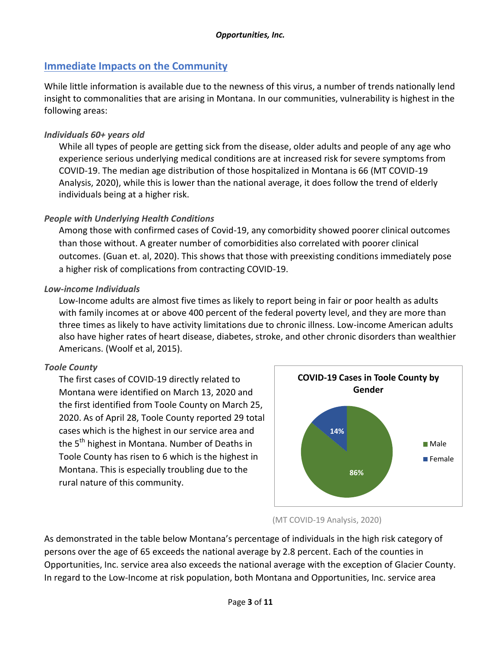# **Immediate Impacts on the Community**

While little information is available due to the newness of this virus, a number of trends nationally lend insight to commonalities that are arising in Montana. In our communities, vulnerability is highest in the following areas:

# *Individuals 60+ years old*

While all types of people are getting sick from the disease, older adults and people of any age who experience serious underlying medical conditions are at increased risk for severe symptoms from COVID-19. The median age distribution of those hospitalized in Montana is 66 (MT COVID-19 Analysis, 2020), while this is lower than the national average, it does follow the trend of elderly individuals being at a higher risk.

# *People with Underlying Health Conditions*

Among those with confirmed cases of Covid-19, any comorbidity showed poorer clinical outcomes than those without. A greater number of comorbidities also correlated with poorer clinical outcomes. (Guan et. al, 2020). This shows that those with preexisting conditions immediately pose a higher risk of complications from contracting COVID-19.

### *Low-income Individuals*

Low-Income adults are almost five times as likely to report being in fair or poor health as adults with family incomes at or above 400 percent of the federal poverty level, and they are more than three times as likely to have activity limitations due to chronic illness. Low-income American adults also have higher rates of heart disease, diabetes, stroke, and other chronic disorders than wealthier Americans. (Woolf et al, 2015).

### *Toole County*

The first cases of COVID-19 directly related to Montana were identified on March 13, 2020 and the first identified from Toole County on March 25, 2020. As of April 28, Toole County reported 29 total cases which is the highest in our service area and the 5<sup>th</sup> highest in Montana. Number of Deaths in Toole County has risen to 6 which is the highest in Montana. This is especially troubling due to the rural nature of this community.



### (MT COVID-19 Analysis, 2020)

As demonstrated in the table below Montana's percentage of individuals in the high risk category of persons over the age of 65 exceeds the national average by 2.8 percent. Each of the counties in Opportunities, Inc. service area also exceeds the national average with the exception of Glacier County. In regard to the Low-Income at risk population, both Montana and Opportunities, Inc. service area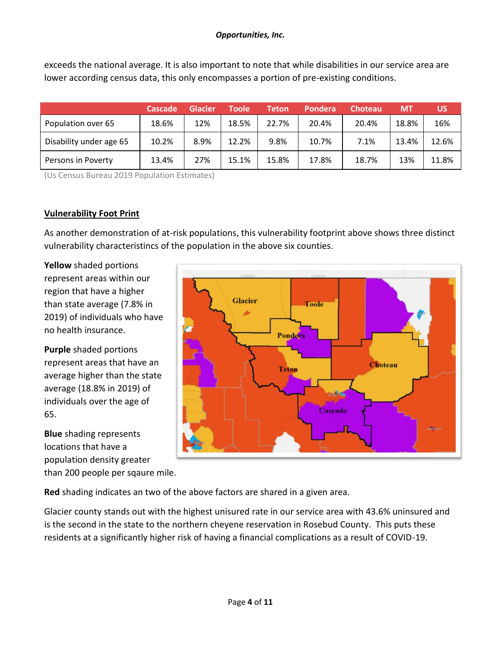exceeds the national average. It is also important to note that while disabilities in our service area are lower according census data, this only encompasses a portion of pre-existing conditions.

|                         | Cascade | Glacier | Toole | Teton | Pondera | <b>Choteau</b> | 'MT   | บร    |
|-------------------------|---------|---------|-------|-------|---------|----------------|-------|-------|
| Population over 65      | 18.6%   | 12%     | 18.5% | 22.7% | 20.4%   | 20.4%          | 18.8% | 16%   |
| Disability under age 65 | 10.2%   | 8.9%    | 12.2% | 9.8%  | 10.7%   | 7.1%           | 13.4% | 12.6% |
| Persons in Poverty      | 13.4%   | 27%     | 15.1% | 15.8% | 17.8%   | 18.7%          | 13%   | 11.8% |

(Us Census Bureau 2019 Population Estimates)

# **Vulnerability Foot Print**

As another demonstration of at-risk populations, this vulnerability footprint above shows three distinct vulnerability characteristincs of the population in the above six counties.

**Yellow** shaded portions represent areas within our region that have a higher than state average (7.8% in 2019) of individuals who have no health insurance.

**Purple** shaded portions represent areas that have an average higher than the state average (18.8% in 2019) of individuals over the age of 65.

**Blue** shading represents locations that have a population density greater than 200 people per sqaure mile.



**Red** shading indicates an two of the above factors are shared in a given area.

Glacier county stands out with the highest unisured rate in our service area with 43.6% uninsured and is the second in the state to the northern cheyene reservation in Rosebud County. This puts these residents at a significantly higher risk of having a financial complications as a result of COVID-19.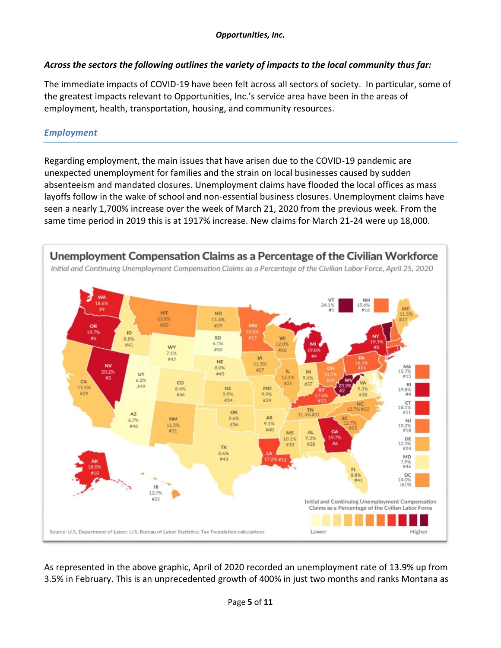# *Across the sectors the following outlines the variety of impacts to the local community thus far:*

The immediate impacts of COVID-19 have been felt across all sectors of society. In particular, some of the greatest impacts relevant to Opportunities, Inc.'s service area have been in the areas of employment, health, transportation, housing, and community resources.

# *Employment*

Regarding employment, the main issues that have arisen due to the COVID-19 pandemic are unexpected unemployment for families and the strain on local businesses caused by sudden absenteeism and mandated closures. Unemployment claims have flooded the local offices as mass layoffs follow in the wake of school and non-essential business closures. Unemployment claims have seen a nearly 1,700% increase over the week of March 21, 2020 from the previous week. From the same time period in 2019 this is at 1917% increase. New claims for March 21-24 were up 18,000.



As represented in the above graphic, April of 2020 recorded an unemployment rate of 13.9% up from 3.5% in February. This is an unprecedented growth of 400% in just two months and ranks Montana as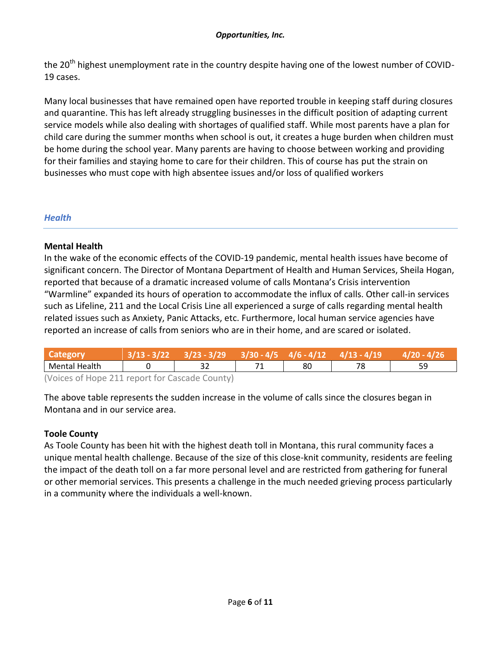the 20<sup>th</sup> highest unemployment rate in the country despite having one of the lowest number of COVID-19 cases.

Many local businesses that have remained open have reported trouble in keeping staff during closures and quarantine. This has left already struggling businesses in the difficult position of adapting current service models while also dealing with shortages of qualified staff. While most parents have a plan for child care during the summer months when school is out, it creates a huge burden when children must be home during the school year. Many parents are having to choose between working and providing for their families and staying home to care for their children. This of course has put the strain on businesses who must cope with high absentee issues and/or loss of qualified workers

# *Health*

### **Mental Health**

In the wake of the economic effects of the COVID-19 pandemic, mental health issues have become of significant concern. The Director of Montana Department of Health and Human Services, Sheila Hogan, reported that because of a dramatic increased volume of calls Montana's Crisis intervention "Warmline" expanded its hours of operation to accommodate the influx of calls. Other call-in services such as Lifeline, 211 and the Local Crisis Line all experienced a surge of calls regarding mental health related issues such as Anxiety, Panic Attacks, etc. Furthermore, local human service agencies have reported an increase of calls from seniors who are in their home, and are scared or isolated.

| Category                                     |  | $5/23 - 3/29$ | $3/30 - 4/5$ | $4/6 - 4/12$ |    |           |
|----------------------------------------------|--|---------------|--------------|--------------|----|-----------|
| Mental Health                                |  |               |              | 80           | 78 | ςq<br>ر ر |
| Waicas of Hana 211 roport for Cascado County |  |               |              |              |    |           |

(Voices of Hope 211 report for Cascade County)

The above table represents the sudden increase in the volume of calls since the closures began in Montana and in our service area.

# **Toole County**

As Toole County has been hit with the highest death toll in Montana, this rural community faces a unique mental health challenge. Because of the size of this close-knit community, residents are feeling the impact of the death toll on a far more personal level and are restricted from gathering for funeral or other memorial services. This presents a challenge in the much needed grieving process particularly in a community where the individuals a well-known.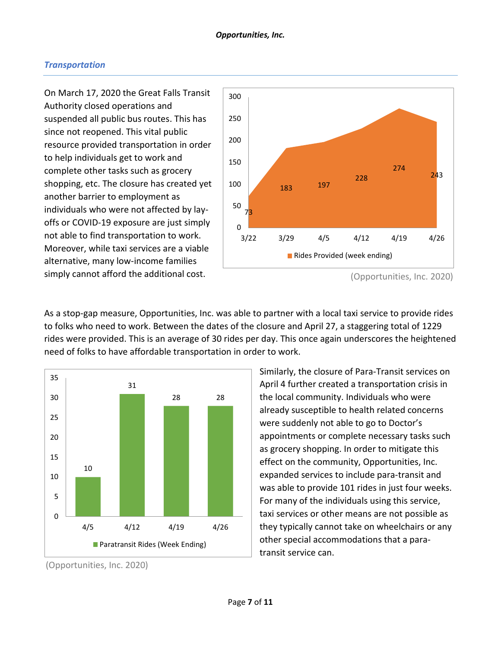### *Transportation*

On March 17, 2020 the Great Falls Transit Authority closed operations and suspended all public bus routes. This has since not reopened. This vital public resource provided transportation in order to help individuals get to work and complete other tasks such as grocery shopping, etc. The closure has created yet another barrier to employment as individuals who were not affected by layoffs or COVID-19 exposure are just simply not able to find transportation to work. Moreover, while taxi services are a viable alternative, many low-income families simply cannot afford the additional cost.



As a stop-gap measure, Opportunities, Inc. was able to partner with a local taxi service to provide rides to folks who need to work. Between the dates of the closure and April 27, a staggering total of 1229 rides were provided. This is an average of 30 rides per day. This once again underscores the heightened need of folks to have affordable transportation in order to work.



Similarly, the closure of Para-Transit services on April 4 further created a transportation crisis in the local community. Individuals who were already susceptible to health related concerns were suddenly not able to go to Doctor's appointments or complete necessary tasks such as grocery shopping. In order to mitigate this effect on the community, Opportunities, Inc. expanded services to include para-transit and was able to provide 101 rides in just four weeks. For many of the individuals using this service, taxi services or other means are not possible as they typically cannot take on wheelchairs or any other special accommodations that a paratransit service can.

<sup>(</sup>Opportunities, Inc. 2020)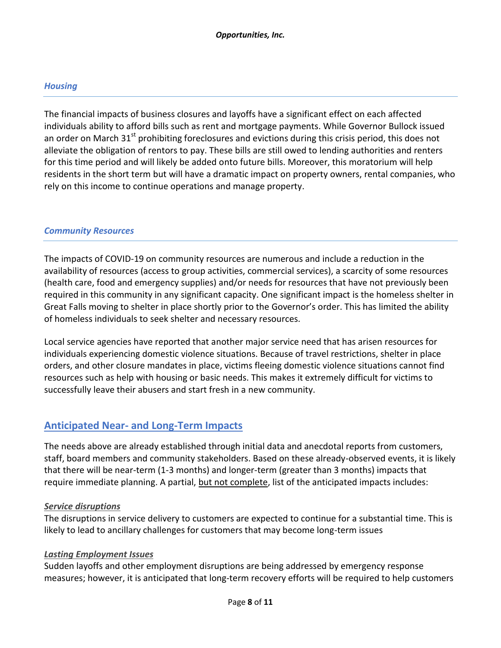### *Housing*

The financial impacts of business closures and layoffs have a significant effect on each affected individuals ability to afford bills such as rent and mortgage payments. While Governor Bullock issued an order on March  $31<sup>st</sup>$  prohibiting foreclosures and evictions during this crisis period, this does not alleviate the obligation of rentors to pay. These bills are still owed to lending authorities and renters for this time period and will likely be added onto future bills. Moreover, this moratorium will help residents in the short term but will have a dramatic impact on property owners, rental companies, who rely on this income to continue operations and manage property.

### *Community Resources*

The impacts of COVID-19 on community resources are numerous and include a reduction in the availability of resources (access to group activities, commercial services), a scarcity of some resources (health care, food and emergency supplies) and/or needs for resources that have not previously been required in this community in any significant capacity. One significant impact is the homeless shelter in Great Falls moving to shelter in place shortly prior to the Governor's order. This has limited the ability of homeless individuals to seek shelter and necessary resources.

Local service agencies have reported that another major service need that has arisen resources for individuals experiencing domestic violence situations. Because of travel restrictions, shelter in place orders, and other closure mandates in place, victims fleeing domestic violence situations cannot find resources such as help with housing or basic needs. This makes it extremely difficult for victims to successfully leave their abusers and start fresh in a new community.

# **Anticipated Near- and Long-Term Impacts**

The needs above are already established through initial data and anecdotal reports from customers, staff, board members and community stakeholders. Based on these already-observed events, it is likely that there will be near-term (1-3 months) and longer-term (greater than 3 months) impacts that require immediate planning. A partial, but not complete, list of the anticipated impacts includes:

### *Service disruptions*

The disruptions in service delivery to customers are expected to continue for a substantial time. This is likely to lead to ancillary challenges for customers that may become long-term issues

### *Lasting Employment Issues*

Sudden layoffs and other employment disruptions are being addressed by emergency response measures; however, it is anticipated that long-term recovery efforts will be required to help customers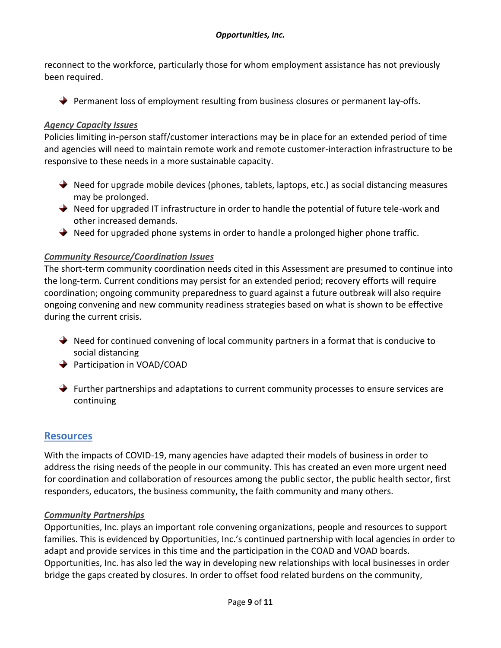reconnect to the workforce, particularly those for whom employment assistance has not previously been required.

 $\rightarrow$  Permanent loss of employment resulting from business closures or permanent lay-offs.

### *Agency Capacity Issues*

Policies limiting in-person staff/customer interactions may be in place for an extended period of time and agencies will need to maintain remote work and remote customer-interaction infrastructure to be responsive to these needs in a more sustainable capacity.

- $\rightarrow$  Need for upgrade mobile devices (phones, tablets, laptops, etc.) as social distancing measures may be prolonged.
- $\rightarrow$  Need for upgraded IT infrastructure in order to handle the potential of future tele-work and other increased demands.
- ◆ Need for upgraded phone systems in order to handle a prolonged higher phone traffic.

### *Community Resource/Coordination Issues*

The short-term community coordination needs cited in this Assessment are presumed to continue into the long-term. Current conditions may persist for an extended period; recovery efforts will require coordination; ongoing community preparedness to guard against a future outbreak will also require ongoing convening and new community readiness strategies based on what is shown to be effective during the current crisis.

- $\rightarrow$  Need for continued convening of local community partners in a format that is conducive to social distancing
- **◆** Participation in VOAD/COAD
- $\rightarrow$  Further partnerships and adaptations to current community processes to ensure services are continuing

# **Resources**

With the impacts of COVID-19, many agencies have adapted their models of business in order to address the rising needs of the people in our community. This has created an even more urgent need for coordination and collaboration of resources among the public sector, the public health sector, first responders, educators, the business community, the faith community and many others.

### *Community Partnerships*

Opportunities, Inc. plays an important role convening organizations, people and resources to support families. This is evidenced by Opportunities, Inc.'s continued partnership with local agencies in order to adapt and provide services in this time and the participation in the COAD and VOAD boards. Opportunities, Inc. has also led the way in developing new relationships with local businesses in order bridge the gaps created by closures. In order to offset food related burdens on the community,